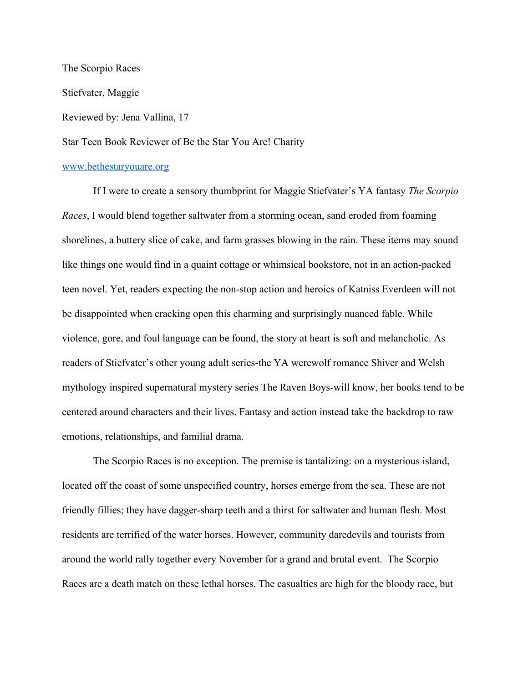The Scorpio Races Stiefvater, Maggie Reviewed by: Jena Vallina, 17 Star Teen Book Reviewer of Be the Star You Are! Charity

## [www.bethestaryouare.org](http://www.bethestaryouare.org/)

If I were to create a sensory thumbprint for Maggie Stiefvater's YA fantasy *The Scorpio Races*, I would blend together saltwater from a storming ocean, sand eroded from foaming shorelines, a buttery slice of cake, and farm grasses blowing in the rain. These items may sound like things one would find in a quaint cottage or whimsical bookstore, not in an action-packed teen novel. Yet, readers expecting the non-stop action and heroics of Katniss Everdeen will not be disappointed when cracking open this charming and surprisingly nuanced fable. While violence, gore, and foul language can be found, the story at heart is soft and melancholic. As readers of Stiefvater's other young adult series-the YA werewolf romance Shiver and Welsh mythology inspired supernatural mystery series The Raven Boys-will know, her books tend to be centered around characters and their lives. Fantasy and action instead take the backdrop to raw emotions, relationships, and familial drama.

The Scorpio Races is no exception. The premise is tantalizing: on a mysterious island, located off the coast of some unspecified country, horses emerge from the sea. These are not friendly fillies; they have dagger-sharp teeth and a thirst for saltwater and human flesh. Most residents are terrified of the water horses. However, community daredevils and tourists from around the world rally together every November for a grand and brutal event. The Scorpio Races are a death match on these lethal horses. The casualties are high for the bloody race, but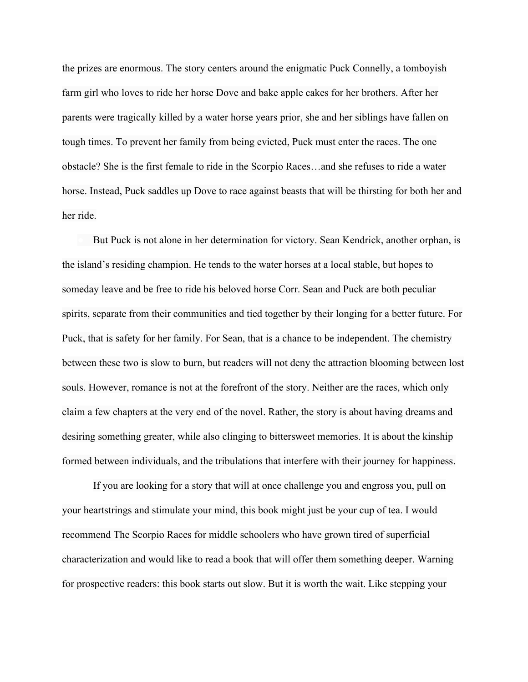the prizes are enormous. The story centers around the enigmatic Puck Connelly, a tomboyish farm girl who loves to ride her horse Dove and bake apple cakes for her brothers. After her parents were tragically killed by a water horse years prior, she and her siblings have fallen on tough times. To prevent her family from being evicted, Puck must enter the races. The one obstacle? She is the first female to ride in the Scorpio Races…and she refuses to ride a water horse. Instead, Puck saddles up Dove to race against beasts that will be thirsting for both her and her ride.

But Puck is not alone in her determination for victory. Sean Kendrick, another orphan, is the island's residing champion. He tends to the water horses at a local stable, but hopes to someday leave and be free to ride his beloved horse Corr. Sean and Puck are both peculiar spirits, separate from their communities and tied together by their longing for a better future. For Puck, that is safety for her family. For Sean, that is a chance to be independent. The chemistry between these two is slow to burn, but readers will not deny the attraction blooming between lost souls. However, romance is not at the forefront of the story. Neither are the races, which only claim a few chapters at the very end of the novel. Rather, the story is about having dreams and desiring something greater, while also clinging to bittersweet memories. It is about the kinship formed between individuals, and the tribulations that interfere with their journey for happiness.

If you are looking for a story that will at once challenge you and engross you, pull on your heartstrings and stimulate your mind, this book might just be your cup of tea. I would recommend The Scorpio Races for middle schoolers who have grown tired of superficial characterization and would like to read a book that will offer them something deeper. Warning for prospective readers: this book starts out slow. But it is worth the wait. Like stepping your